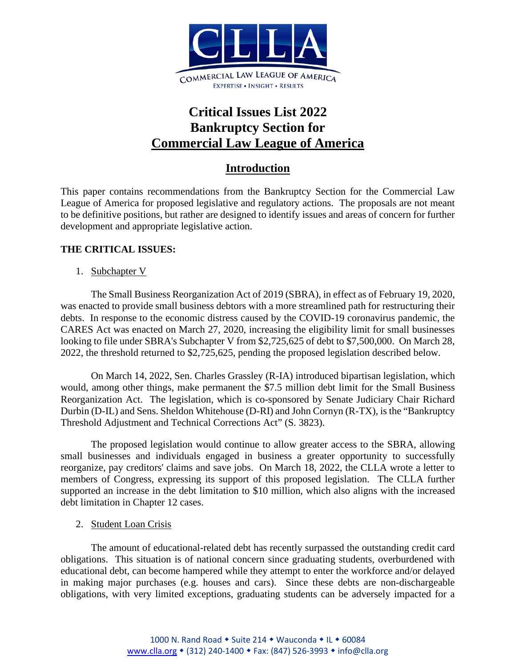

# **Critical Issues List 2022 Bankruptcy Section for Commercial Law League of America**

# **Introduction**

This paper contains recommendations from the Bankruptcy Section for the Commercial Law League of America for proposed legislative and regulatory actions. The proposals are not meant to be definitive positions, but rather are designed to identify issues and areas of concern for further development and appropriate legislative action.

# **THE CRITICAL ISSUES:**

1. Subchapter V

The Small Business Reorganization Act of 2019 (SBRA), in effect as of February 19, 2020, was enacted to provide small business debtors with a more streamlined path for restructuring their debts. In response to the economic distress caused by the COVID-19 coronavirus pandemic, the CARES Act [was enacted on March 27, 2020,](https://www.abi.org/newsroom/press-releases/house-approves-trump-signs-coronavirus-stimulus-into-law-with-provisions) increasing the eligibility limit for small businesses looking to file under SBRA's Subchapter V from \$2,725,625 of debt to \$7,500,000. On March 28, 2022, the threshold returned to \$2,725,625, pending the proposed legislation described below.

On March 14, 2022, Sen. Charles Grassley (R-IA) introduced bipartisan legislation, which would, among other things, make permanent the \$7.5 million debt limit for the Small Business Reorganization Act. The legislation, which is co-sponsored by Senate Judiciary Chair Richard Durbin (D-IL) and Sens. Sheldon Whitehouse (D-RI) and John Cornyn (R-TX), is the "Bankruptcy Threshold Adjustment and Technical Corrections Act" (S. 3823).

The proposed legislation would continue to allow greater access to the SBRA, allowing small businesses and individuals engaged in business a greater opportunity to successfully reorganize, pay creditors' claims and save jobs. On March 18, 2022, the CLLA wrote a letter to members of Congress, expressing its support of this proposed legislation. The CLLA further supported an increase in the debt limitation to \$10 million, which also aligns with the increased debt limitation in Chapter 12 cases.

2. Student Loan Crisis

The amount of educational-related debt has recently surpassed the outstanding credit card obligations. This situation is of national concern since graduating students, overburdened with educational debt, can become hampered while they attempt to enter the workforce and/or delayed in making major purchases (e.g. houses and cars). Since these debts are non-dischargeable obligations, with very limited exceptions, graduating students can be adversely impacted for a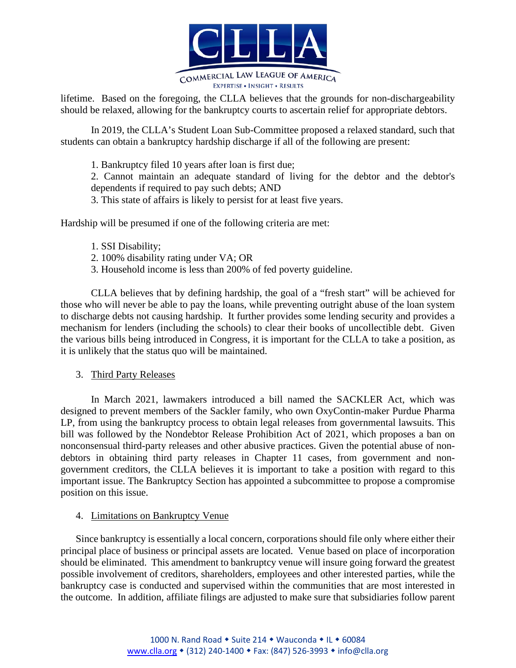

lifetime. Based on the foregoing, the CLLA believes that the grounds for non-dischargeability should be relaxed, allowing for the bankruptcy courts to ascertain relief for appropriate debtors.

In 2019, the CLLA's Student Loan Sub-Committee proposed a relaxed standard, such that students can obtain a bankruptcy hardship discharge if all of the following are present:

1. Bankruptcy filed 10 years after loan is first due;

2. Cannot maintain an adequate standard of living for the debtor and the debtor's dependents if required to pay such debts; AND

3. This state of affairs is likely to persist for at least five years.

Hardship will be presumed if one of the following criteria are met:

- 1. SSI Disability;
- 2. 100% disability rating under VA; OR
- 3. Household income is less than 200% of fed poverty guideline.

CLLA believes that by defining hardship, the goal of a "fresh start" will be achieved for those who will never be able to pay the loans, while preventing outright abuse of the loan system to discharge debts not causing hardship. It further provides some lending security and provides a mechanism for lenders (including the schools) to clear their books of uncollectible debt. Given the various bills being introduced in Congress, it is important for the CLLA to take a position, as it is unlikely that the status quo will be maintained.

#### 3. Third Party Releases

In March 2021, lawmakers introduced a bill named the SACKLER Act, which was designed to prevent members of the Sackler family, who own OxyContin-maker Purdue Pharma LP, from using the bankruptcy process to obtain legal releases from governmental lawsuits. This bill was followed by the Nondebtor Release Prohibition Act of 2021, which proposes a ban on nonconsensual third-party releases and other abusive practices. Given the potential abuse of nondebtors in obtaining third party releases in Chapter 11 cases, from government and nongovernment creditors, the CLLA believes it is important to take a position with regard to this important issue. The Bankruptcy Section has appointed a subcommittee to propose a compromise position on this issue.

#### 4. Limitations on Bankruptcy Venue

Since bankruptcy is essentially a local concern, corporations should file only where either their principal place of business or principal assets are located. Venue based on place of incorporation should be eliminated. This amendment to bankruptcy venue will insure going forward the greatest possible involvement of creditors, shareholders, employees and other interested parties, while the bankruptcy case is conducted and supervised within the communities that are most interested in the outcome. In addition, affiliate filings are adjusted to make sure that subsidiaries follow parent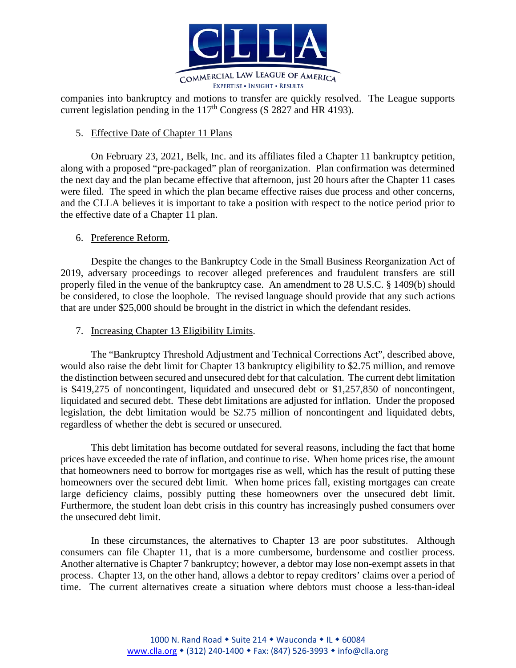

companies into bankruptcy and motions to transfer are quickly resolved. The League supports current legislation pending in the  $117<sup>th</sup>$  Congress (S 2827 and HR 4193).

# 5. Effective Date of Chapter 11 Plans

On February 23, 2021, Belk, Inc. and its affiliates filed a Chapter 11 bankruptcy petition, along with a proposed "pre-packaged" plan of reorganization. Plan confirmation was determined the next day and the plan became effective that afternoon, just 20 hours after the Chapter 11 cases were filed. The speed in which the plan became effective raises due process and other concerns, and the CLLA believes it is important to take a position with respect to the notice period prior to the effective date of a Chapter 11 plan.

# 6. Preference Reform.

Despite the changes to the Bankruptcy Code in the Small Business Reorganization Act of 2019, adversary proceedings to recover alleged preferences and fraudulent transfers are still properly filed in the venue of the bankruptcy case. An amendment to 28 U.S.C. § 1409(b) should be considered, to close the loophole. The revised language should provide that any such actions that are under \$25,000 should be brought in the district in which the defendant resides.

#### 7. Increasing Chapter 13 Eligibility Limits.

The "Bankruptcy Threshold Adjustment and Technical Corrections Act", described above, would also raise the debt limit for Chapter 13 bankruptcy eligibility to \$2.75 million, and remove the distinction between secured and unsecured debt for that calculation. The current debt limitation is \$419,275 of noncontingent, liquidated and unsecured debt or \$1,257,850 of noncontingent, liquidated and secured debt. These debt limitations are adjusted for inflation. Under the proposed legislation, the debt limitation would be \$2.75 million of noncontingent and liquidated debts, regardless of whether the debt is secured or unsecured.

This debt limitation has become outdated for several reasons, including the fact that home prices have exceeded the rate of inflation, and continue to rise. When home prices rise, the amount that homeowners need to borrow for mortgages rise as well, which has the result of putting these homeowners over the secured debt limit. When home prices fall, existing mortgages can create large deficiency claims, possibly putting these homeowners over the unsecured debt limit. Furthermore, the student loan debt crisis in this country has increasingly pushed consumers over the unsecured debt limit.

In these circumstances, the alternatives to Chapter 13 are poor substitutes. Although consumers can file Chapter 11, that is a more cumbersome, burdensome and costlier process. Another alternative is Chapter 7 bankruptcy; however, a debtor may lose non-exempt assets in that process. Chapter 13, on the other hand, allows a debtor to repay creditors' claims over a period of time. The current alternatives create a situation where debtors must choose a less-than-ideal